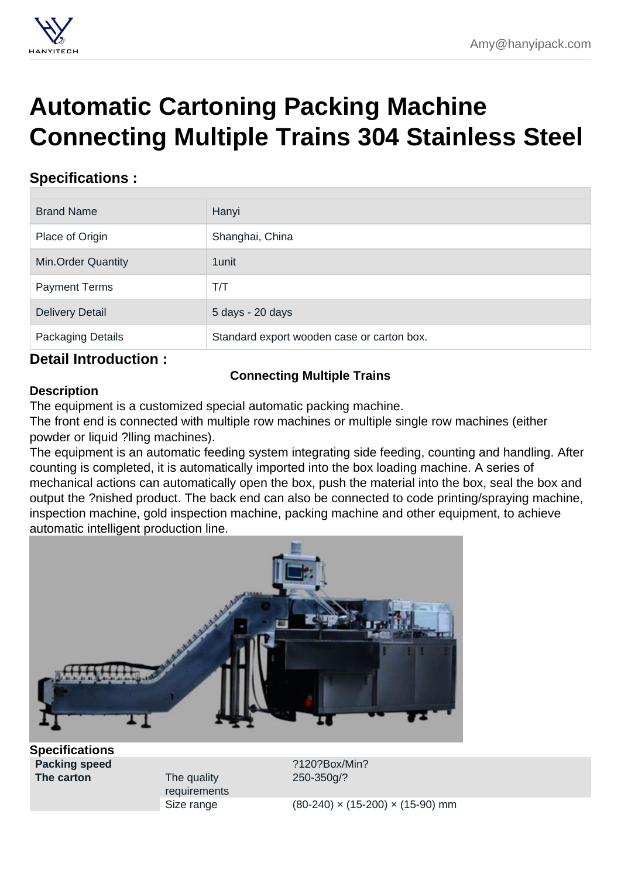## Automatic Cartoning Packing Machine [Connecting Multiple Trains 304 Stainless Steel](https://hanyipack.com/automatic-cartoning-machine/connecting-multiple-trains.html)

## Specifications :

| <b>Brand Name</b>         | Hanyi                                      |  |
|---------------------------|--------------------------------------------|--|
| Place of Origin           | Shanghai, China                            |  |
| <b>Min.Order Quantity</b> | 1 unit                                     |  |
| <b>Payment Terms</b>      | T/T                                        |  |
| <b>Delivery Detail</b>    | 5 days - 20 days                           |  |
| Packaging Details         | Standard export wooden case or carton box. |  |

## Detail Introduction :

Connecting Multiple Trains

## **Description**

The equipment is a customized special automatic packing machine.

The front end is connected with multiple row machines or multiple single row machines (either powder or liquid ?lling machines).

The equipment is an automatic feeding system integrating side feeding, counting and handling. After counting is completed, it is automatically imported into the box loading machine. A series of mechanical actions can automatically open the box, push the material into the box, seal the box and output the ?nished product. The back end can also be connected to code printing/spraying machine, inspection machine, gold inspection machine, packing machine and other equipment, to achieve automatic intelligent production line.

**Specifications** 

The carton The quality requirements

Packing speed **2120?Box/Min?** 250-350g/?

Size range (80-240) × (15-200) × (15-90) mm